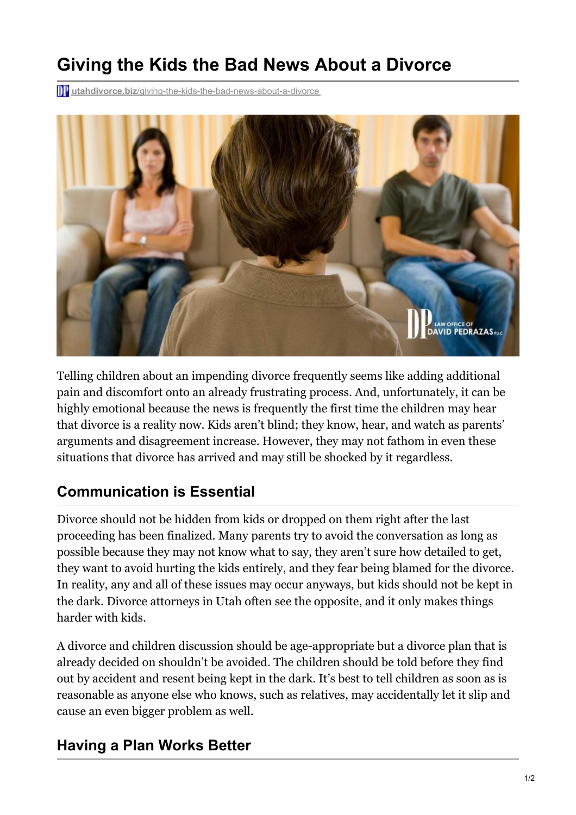## **Giving the Kids the Bad News About a Divorce**

**The utahdivorce.biz[/giving-the-kids-the-bad-news-about-a-divorce](https://utahdivorce.biz/giving-the-kids-the-bad-news-about-a-divorce/)** 



Telling children about an impending divorce frequently seems like adding additional pain and discomfort onto an already frustrating process. And, unfortunately, it can be highly emotional because the news is frequently the first time the children may hear that divorce is a reality now. Kids aren't blind; they know, hear, and watch as parents' arguments and disagreement increase. However, they may not fathom in even these situations that divorce has arrived and may still be shocked by it regardless.

## **Communication is Essential**

Divorce should not be hidden from kids or dropped on them right after the last proceeding has been finalized. Many parents try to avoid the conversation as long as possible because they may not know what to say, they aren't sure how detailed to get, they want to avoid hurting the kids entirely, and they fear being blamed for the divorce. In reality, any and all of these issues may occur anyways, but kids should not be kept in the dark. Divorce attorneys in Utah often see the opposite, and it only makes things harder with kids.

A divorce and children discussion should be age-appropriate but a divorce plan that is already decided on shouldn't be avoided. The children should be told before they find out by accident and resent being kept in the dark. It's best to tell children as soon as is reasonable as anyone else who knows, such as relatives, may accidentally let it slip and cause an even bigger problem as well.

## **Having a Plan Works Better**